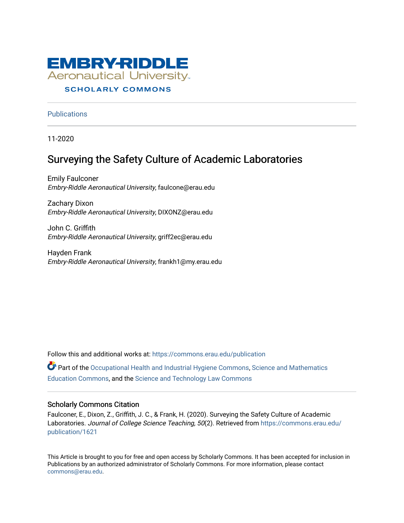

#### **SCHOLARLY COMMONS**

**Publications** 

11-2020

# Surveying the Safety Culture of Academic Laboratories

Emily Faulconer Embry-Riddle Aeronautical University, faulcone@erau.edu

Zachary Dixon Embry-Riddle Aeronautical University, DIXONZ@erau.edu

John C. Griffith Embry-Riddle Aeronautical University, griff2ec@erau.edu

Hayden Frank Embry-Riddle Aeronautical University, frankh1@my.erau.edu

Follow this and additional works at: [https://commons.erau.edu/publication](https://commons.erau.edu/publication?utm_source=commons.erau.edu%2Fpublication%2F1621&utm_medium=PDF&utm_campaign=PDFCoverPages) 

**Part of the [Occupational Health and Industrial Hygiene Commons,](http://network.bepress.com/hgg/discipline/742?utm_source=commons.erau.edu%2Fpublication%2F1621&utm_medium=PDF&utm_campaign=PDFCoverPages) Science and Mathematics** [Education Commons,](http://network.bepress.com/hgg/discipline/800?utm_source=commons.erau.edu%2Fpublication%2F1621&utm_medium=PDF&utm_campaign=PDFCoverPages) and the [Science and Technology Law Commons](http://network.bepress.com/hgg/discipline/875?utm_source=commons.erau.edu%2Fpublication%2F1621&utm_medium=PDF&utm_campaign=PDFCoverPages) 

#### Scholarly Commons Citation

Faulconer, E., Dixon, Z., Griffith, J. C., & Frank, H. (2020). Surveying the Safety Culture of Academic Laboratories. Journal of College Science Teaching, 50(2). Retrieved from [https://commons.erau.edu/](https://commons.erau.edu/publication/1621?utm_source=commons.erau.edu%2Fpublication%2F1621&utm_medium=PDF&utm_campaign=PDFCoverPages) [publication/1621](https://commons.erau.edu/publication/1621?utm_source=commons.erau.edu%2Fpublication%2F1621&utm_medium=PDF&utm_campaign=PDFCoverPages) 

This Article is brought to you for free and open access by Scholarly Commons. It has been accepted for inclusion in Publications by an authorized administrator of Scholarly Commons. For more information, please contact [commons@erau.edu](mailto:commons@erau.edu).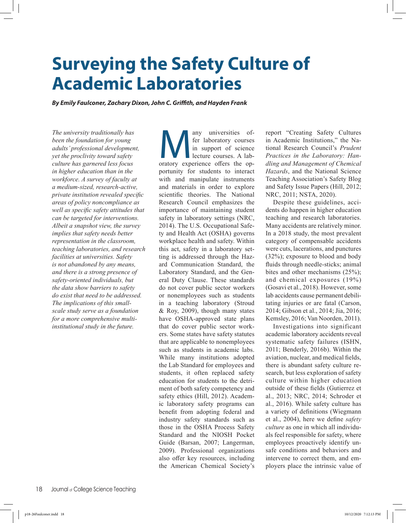*By Emily Faulconer, Zachary Dixon, John C. Griffith, and Hayden Frank*

*The university traditionally has been the foundation for young adults' professional development, yet the proclivity toward safety culture has garnered less focus in higher education than in the workforce. A survey of faculty at a medium-sized, research-active, private institution revealed specific areas of policy noncompliance as well as specific safety attitudes that can be targeted for interventions. Albeit a snapshot view, the survey implies that safety needs better representation in the classroom, teaching laboratories, and research facilities at universities. Safety is not abandoned by any means, and there is a strong presence of safety-oriented individuals, but the data show barriers to safety do exist that need to be addressed. The implications of this smallscale study serve as a foundation for a more comprehensive multiinstitutional study in the future.*

Many universities of-<br>fer laboratory courses<br>in support of science<br>lecture courses. A lab-<br>oratory experience offers the opfer laboratory courses in support of science lecture courses. A labportunity for students to interact with and manipulate instruments and materials in order to explore scientific theories. The National Research Council emphasizes the importance of maintaining student safety in laboratory settings (NRC, 2014). The U.S. Occupational Safety and Health Act (OSHA) governs workplace health and safety. Within this act, safety in a laboratory setting is addressed through the Hazard Communication Standard, the Laboratory Standard, and the General Duty Clause. These standards do not cover public sector workers or nonemployees such as students in a teaching laboratory (Stroud & Roy, 2009), though many states have OSHA-approved state plans that do cover public sector workers. Some states have safety statutes that are applicable to nonemployees such as students in academic labs. While many institutions adopted the Lab Standard for employees and students, it often replaced safety education for students to the detriment of both safety competency and safety ethics (Hill, 2012). Academic laboratory safety programs can benefit from adopting federal and industry safety standards such as those in the OSHA Process Safety Standard and the NIOSH Pocket Guide (Barsan, 2007; Langerman, 2009). Professional organizations also offer key resources, including the American Chemical Society's

report "Creating Safety Cultures in Academic Institutions," the National Research Council's *Prudent Practices in the Laboratory: Handling and Management of Chemical Hazards*, and the National Science Teaching Association's Safety Blog and Safety Issue Papers (Hill, 2012; NRC, 2011; NSTA, 2020).

Despite these guidelines, accidents do happen in higher education teaching and research laboratories. Many accidents are relatively minor. In a 2018 study, the most prevalent category of compensable accidents were cuts, lacerations, and punctures (32%); exposure to blood and body fluids through needle-sticks; animal bites and other mechanisms (25%); and chemical exposures (19%) (Gosavi et al., 2018). However, some lab accidents cause permanent debilitating injuries or are fatal (Carson, 2014; Gibson et al., 2014; Jia, 2016; Kemsley, 2016; Van Noorden, 2011).

Investigations into significant academic laboratory accidents reveal systematic safety failures (ISHN, 2011; Benderly, 2016b). Within the aviation, nuclear, and medical fields, there is abundant safety culture research, but less exploration of safety culture within higher education outside of these fields (Gutierrez et al., 2013; NRC, 2014; Schroder et al., 2016). While safety culture has a variety of definitions (Wiegmann et al., 2004), here we define *safety culture* as one in which all individuals feel responsible for safety, where employees proactively identify unsafe conditions and behaviors and intervene to correct them, and employers place the intrinsic value of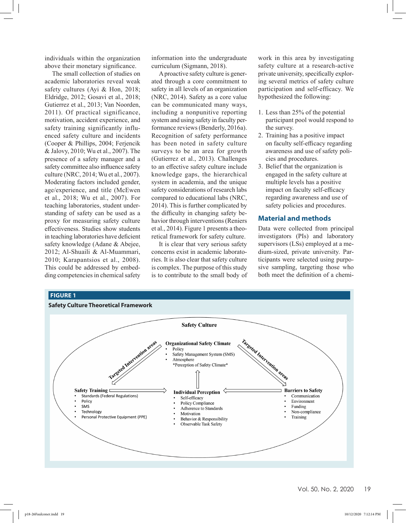individuals within the organization above their monetary significance.

The small collection of studies on academic laboratories reveal weak safety cultures (Ayi & Hon, 2018; Eldridge, 2012; Gosavi et al., 2018; Gutierrez et al., 2013; Van Noorden, 2011). Of practical significance, motivation, accident experience, and safety training significantly influenced safety culture and incidents (Cooper & Phillips, 2004; Ferjencik & Jalovy, 2010; Wu et al., 2007). The presence of a safety manager and a safety committee also influence safety culture (NRC, 2014; Wu et al., 2007). Moderating factors included gender, age/experience, and title (McEwen et al., 2018; Wu et al., 2007). For teaching laboratories, student understanding of safety can be used as a proxy for measuring safety culture effectiveness. Studies show students in teaching laboratories have deficient safety knowledge (Adane & Abejee, 2012; Al-Shuaili & Al-Muammari, 2010; Karapantsios et al., 2008). This could be addressed by embedding competencies in chemical safety

information into the undergraduate curriculum (Sigmann, 2018).

A proactive safety culture is generated through a core commitment to safety in all levels of an organization (NRC, 2014). Safety as a core value can be communicated many ways, including a nonpunitive reporting system and using safety in faculty performance reviews (Benderly, 2016a). Recognition of safety performance has been noted in safety culture surveys to be an area for growth (Gutierrez et al., 2013). Challenges to an effective safety culture include knowledge gaps, the hierarchical system in academia, and the unique safety considerations of research labs compared to educational labs (NRC, 2014). This is further complicated by the difficulty in changing safety behavior through interventions (Reniers et al., 2014). Figure 1 presents a theoretical framework for safety culture.

It is clear that very serious safety concerns exist in academic laboratories. It is also clear that safety culture is complex. The purpose of this study is to contribute to the small body of

work in this area by investigating safety culture at a research-active private university, specifically exploring several metrics of safety culture participation and self-efficacy. We hypothesized the following:

- 1. Less than 25% of the potential participant pool would respond to the survey.
- 2. Training has a positive impact on faculty self-efficacy regarding awareness and use of safety policies and procedures.
- 3. Belief that the organization is engaged in the safety culture at multiple levels has a positive impact on faculty self-efficacy regarding awareness and use of safety policies and procedures.

#### **Material and methods**

Data were collected from principal investigators (PIs) and laboratory supervisors (LSs) employed at a medium-sized, private university. Participants were selected using purposive sampling, targeting those who both meet the definition of a chemi-

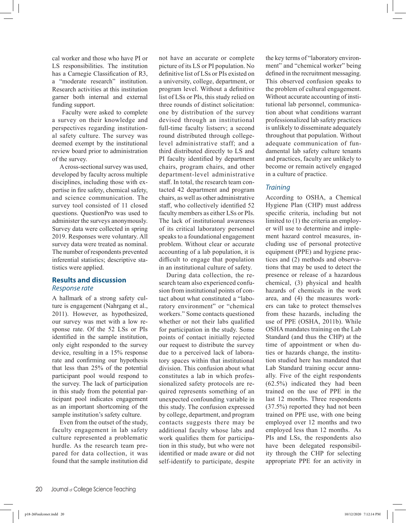cal worker and those who have PI or LS responsibilities. The institution has a Carnegie Classification of R3, a "moderate research" institution. Research activities at this institution garner both internal and external funding support.

 Faculty were asked to complete a survey on their knowledge and perspectives regarding institutional safety culture. The survey was deemed exempt by the institutional review board prior to administration of the survey.

A cross-sectional survey was used, developed by faculty across multiple disciplines, including those with expertise in fire safety, chemical safety, and science communication. The survey tool consisted of 11 closed questions. QuestionPro was used to administer the surveys anonymously. Survey data were collected in spring 2019. Responses were voluntary. All survey data were treated as nominal. The number of respondents prevented inferential statistics; descriptive statistics were applied.

#### **Results and discussion** *Response rate*

A hallmark of a strong safety culture is engagement (Nahrgang et al., 2011). However, as hypothesized, our survey was met with a low response rate. Of the 52 LSs or PIs identified in the sample institution, only eight responded to the survey device, resulting in a 15% response rate and confirming our hypothesis that less than 25% of the potential participant pool would respond to the survey. The lack of participation in this study from the potential participant pool indicates engagement as an important shortcoming of the sample institution's safety culture.

Even from the outset of the study, faculty engagement in lab safety culture represented a problematic hurdle. As the research team prepared for data collection, it was found that the sample institution did not have an accurate or complete picture of its LS or PI population. No definitive list of LSs or PIs existed on a university, college, department, or program level. Without a definitive list of LSs or PIs, this study relied on three rounds of distinct solicitation: one by distribution of the survey devised through an institutional full-time faculty listserv; a second round distributed through collegelevel administrative staff; and a third distributed directly to LS and PI faculty identified by department chairs, program chairs, and other department-level administrative staff. In total, the research team contacted 42 department and program chairs, as well as other administrative staff, who collectively identified 52 faculty members as either LSs or PIs. The lack of institutional awareness of its critical laboratory personnel speaks to a foundational engagement problem. Without clear or accurate accounting of a lab population, it is difficult to engage that population in an institutional culture of safety.

During data collection, the research team also experienced confusion from institutional points of contact about what constituted a "laboratory environment" or "chemical workers." Some contacts questioned whether or not their labs qualified for participation in the study. Some points of contact initially rejected our request to distribute the survey due to a perceived lack of laboratory spaces within that institutional division. This confusion about what constitutes a lab in which professionalized safety protocols are required represents something of an unexpected confounding variable in this study. The confusion expressed by college, department, and program contacts suggests there may be additional faculty whose labs and work qualifies them for participation in this study, but who were not identified or made aware or did not self-identify to participate, despite the key terms of "laboratory environment" and "chemical worker" being defined in the recruitment messaging. This observed confusion speaks to the problem of cultural engagement. Without accurate accounting of institutional lab personnel, communication about what conditions warrant professionalized lab safety practices is unlikely to disseminate adequately throughout that population. Without adequate communication of fundamental lab safety culture tenants and practices, faculty are unlikely to become or remain actively engaged in a culture of practice.

#### *Training*

According to OSHA, a Chemical Hygiene Plan (CHP) must address specific criteria, including but not limited to (1) the criteria an employer will use to determine and implement hazard control measures, including use of personal protective equipment (PPE) and hygiene practices and (2) methods and observations that may be used to detect the presence or release of a hazardous chemical, (3) physical and health hazards of chemicals in the work area, and (4) the measures workers can take to protect themselves from these hazards, including the use of PPE (OSHA, 2011b). While OSHA mandates training on the Lab Standard (and thus the CHP) at the time of appointment or when duties or hazards change, the institution studied here has mandated that Lab Standard training occur annually. Five of the eight respondents (62.5%) indicated they had been trained on the use of PPE in the last 12 months. Three respondents (37.5%) reported they had not been trained on PPE use, with one being employed over 12 months and two employed less than 12 months. As PIs and LSs, the respondents also have been delegated responsibility through the CHP for selecting appropriate PPE for an activity in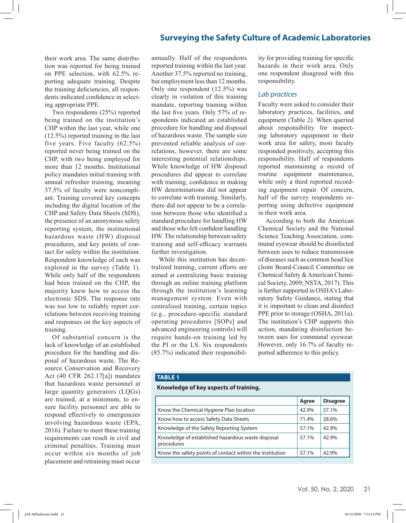their work area. The same distribution was reported for being trained on PPE selection, with 62.5% reporting adequate training. Despite the training deficiencies, all respondents indicated confidence in selecting appropriate PPE.

Two respondents (25%) reported being trained on the institution's CHP within the last year, while one (12.5%) reported training in the last five years. Five faculty (62.5%) reported never being trained on the CHP, with two being employed for more than 12 months. Institutional policy mandates initial training with annual refresher training, meaning 37.5% of faculty were noncompliant. Training covered key concepts including the digital location of the CHP and Safety Data Sheets (SDS), the presence of an anonymous safety reporting system, the institutional hazardous waste (HW) disposal procedures, and key points of contact for safety within the institution. Respondent knowledge of each was explored in the survey (Table 1). While only half of the respondents had been trained on the CHP, the majority knew how to access the electronic SDS. The response rate was too low to reliably report correlations between receiving training and responses on the key aspects of training.

Of substantial concern is the lack of knowledge of an established procedure for the handling and disposal of hazardous waste. The Resource Conservation and Recovery Act (40 CFR 262.17[a]) mandates that hazardous waste personnel at large quantity generators (LQGs) are trained, at a minimum, to ensure facility personnel are able to respond effectively to emergencies involving hazardous waste (EPA, 2016). Failure to meet these training requirements can result in civil and criminal penalties. Training must occur within six months of job placement and retraining must occur

annually. Half of the respondents reported training within the last year. Another 37.5% reported no training, but employment less than 12 months. Only one respondent (12.5%) was clearly in violation of this training mandate, reporting training within the last five years. Only 57% of respondents indicated an established procedure for handling and disposal of hazardous waste. The sample size prevented reliable analysis of correlations, however, there are some interesting potential relationships. While knowledge of HW disposal procedures did appear to correlate with training, confidence in making HW determinations did not appear to correlate with training. Similarly, there did not appear to be a correlation between those who identified a standard procedure for handling HW and those who felt confident handling HW. The relationship between safety training and self-efficacy warrants further investigation.

While this institution has decentralized training, current efforts are aimed at centralizing basic training through an online training platform through the institution's learning management system. Even with centralized training, certain topics (e.g., procedure-specific standard operating procedures [SOPs] and advanced engineering controls) will require hands-on training led by the PI or the LS. Six respondents (85.7%) indicated their responsibil-

ity for providing training for specific hazards in their work area. Only one respondent disagreed with this responsibility.

#### *Lab practices*

Faculty were asked to consider their laboratory practices, facilities, and equipment (Table 2). When queried about responsibility for inspecting laboratory equipment in their work area for safety, most faculty responded positively, accepting this responsibility. Half of respondents reported maintaining a record of routine equipment maintenance, while only a third reported recording equipment repair. Of concern, half of the survey respondents reporting using defective equipment in their work area.

According to both the American Chemical Society and the National Science Teaching Association, communal eyewear should be disinfected between uses to reduce transmission of diseases such as common head lice (Joint Board-Council Committee on Chemical Safety & American Chemical Society, 2009; NSTA, 2017). This is further supported in OSHA's Laboratory Safety Guidance, stating that it is important to clean and disinfect PPE prior to storage (OSHA, 2011a). The institution's CHP supports this action, mandating disinfection between uses for communal eyewear. However, only 16.7% of faculty reported adherence to this policy.

#### **TABLE 1**

#### **Knowledge of key aspects of training.**

|                                                                 | Agree | <b>Disagree</b> |
|-----------------------------------------------------------------|-------|-----------------|
| Know the Chemical Hygiene Plan location                         | 42.9% | 57.1%           |
| Know how to access Safety Data Sheets                           | 71.4% | 28.6%           |
| Knowledge of the Safety Reporting System                        | 57.1% | 42.9%           |
| Knowledge of established hazardous waste disposal<br>procedures | 57.1% | 42.9%           |
| Know the safety points of contact within the institution        | 57.1% | 42.9%           |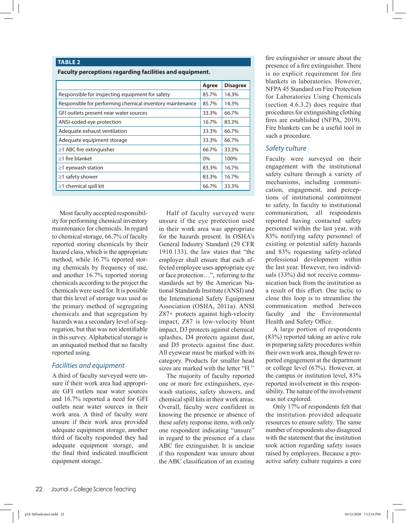#### **TABLE 2**

**Faculty perceptions regarding facilities and equipment.**

|                                                           | Agree | <b>Disagree</b> |
|-----------------------------------------------------------|-------|-----------------|
| Responsible for inspecting equipment for safety           | 85.7% | 14.3%           |
| Responsible for performing chemical inventory maintenance | 85.7% | 14.3%           |
| GFI outlets present near water sources                    | 33.3% | 66.7%           |
| ANSI-coded eye protection                                 | 16.7% | 83.3%           |
| Adequate exhaust ventilation                              | 33.3% | 66.7%           |
| Adequate equipment storage                                | 33.3% | 66.7%           |
| $\geq$ 1 ABC fire extinguisher                            | 66.7% | 33.3%           |
| $\geq$ 1 fire blanket                                     | $0\%$ | 100%            |
| $\geq$ 1 eyewash station                                  | 83.3% | 16.7%           |
| $\geq$ 1 safety shower                                    | 83.3% | 16.7%           |
| $\geq$ 1 chemical spill kit                               | 66.7% | 33.3%           |

Most faculty accepted responsibility for performing chemical inventory maintenance for chemicals. In regard to chemical storage, 66.7% of faculty reported storing chemicals by their hazard class, which is the appropriate method, while 16.7% reported storing chemicals by frequency of use, and another 16.7% reported storing chemicals according to the project the chemicals were used for. It is possible that this level of storage was used as the primary method of segregating chemicals and that segregation by hazards was a secondary level of segregation, but that was not identifiable in this survey. Alphabetical storage is an antiquated method that no faculty reported using.

#### *Facilities and equipment*

A third of faculty surveyed were unsure if their work area had appropriate GFI outlets near water sources and 16.7% reported a need for GFI outlets near water sources in their work area. A third of faculty were unsure if their work area provided adequate equipment storage, another third of faculty responded they had adequate equipment storage, and the final third indicated insufficient equipment storage.

Half of faculty surveyed were unsure if the eye protection used in their work area was appropriate for the hazards present. In OSHA's General Industry Standard (29 CFR 1910.133), the law states that "the employer shall ensure that each affected employee uses appropriate eye or face protection…", referring to the standards set by the American National Standards Institute (ANSI) and the International Safety Equipment Association (OSHA, 2011a). ANSI Z87+ protects against high-velocity impact, Z87 is low-velocity blunt impact, D3 protects against chemical splashes, D4 protects against dust, and D5 protects against fine dust. All eyewear must be marked with its category. Products for smaller head sizes are marked with the letter "H."

The majority of faculty reported one or more fire extinguishers, eyewash stations, safety showers, and chemical spill kits in their work areas. Overall, faculty were confident in knowing the presence or absence of these safety response items, with only one respondent indicating "unsure" in regard to the presence of a class ABC fire extinguisher. It is unclear if this respondent was unsure about the ABC classification of an existing fire extinguisher or unsure about the presence of a fire extinguisher. There is no explicit requirement for fire blankets in laboratories. However, NFPA 45 Standard on Fire Protection for Laboratories Using Chemicals (section 4.6.3.2) does require that procedures for extinguishing clothing fires are established (NFPA, 2019). Fire blankets can be a useful tool in such a procedure.

#### *Safety culture*

Faculty were surveyed on their engagement with the institutional safety culture through a variety of mechanisms, including communication, engagement, and perceptions of institutional commitment to safety. In faculty to institutional communication, all respondents reported having contacted safety personnel within the last year, with 83% notifying safety personnel of existing or potential safety hazards and 83% requesting safety-related professional development within the last year. However, two individuals (33%) did not receive communication back from the institution as a result of this effort. One tactic to close this loop is to streamline the communication method between faculty and the Environmental Health and Safety Office.

A large portion of respondents (83%) reported taking an active role in preparing safety procedures within their own work area, though fewer reported engagement at the department or college level (67%). However, at the campus or institution level, 83% reported involvement in this responsibility. The nature of the involvement was not explored.

Only 17% of respondents felt that the institution provided adequate resources to ensure safety. The same number of respondents also disagreed with the statement that the institution took action regarding safety issues raised by employees. Because a proactive safety culture requires a core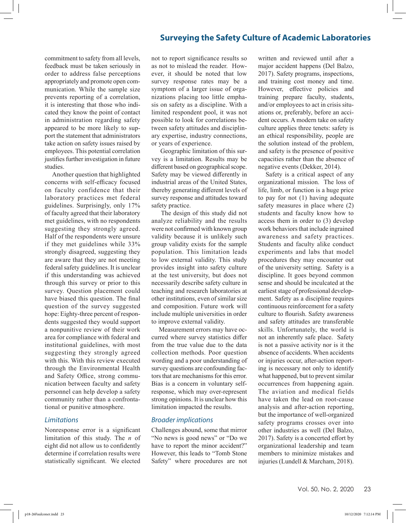commitment to safety from all levels, feedback must be taken seriously in order to address false perceptions appropriately and promote open communication. While the sample size prevents reporting of a correlation, it is interesting that those who indicated they know the point of contact in administration regarding safety appeared to be more likely to support the statement that administrators take action on safety issues raised by employees. This potential correlation justifies further investigation in future studies.

Another question that highlighted concerns with self-efficacy focused on faculty confidence that their laboratory practices met federal guidelines. Surprisingly, only 17% of faculty agreed that their laboratory met guidelines, with no respondents suggesting they strongly agreed. Half of the respondents were unsure if they met guidelines while 33% strongly disagreed, suggesting they are aware that they are not meeting federal safety guidelines. It is unclear if this understanding was achieved through this survey or prior to this survey. Question placement could have biased this question. The final question of the survey suggested hope: Eighty-three percent of respondents suggested they would support a nonpunitive review of their work area for compliance with federal and institutional guidelines, with most suggesting they strongly agreed with this. With this review executed through the Environmental Health and Safety Office, strong communication between faculty and safety personnel can help develop a safety community rather than a confrontational or punitive atmosphere.

#### *Limitations*

Nonresponse error is a significant limitation of this study. The *n* of eight did not allow us to confidently determine if correlation results were statistically significant. We elected

not to report significance results so as not to mislead the reader. However, it should be noted that low survey response rates may be a symptom of a larger issue of organizations placing too little emphasis on safety as a discipline. With a limited respondent pool, it was not possible to look for correlations between safety attitudes and disciplinary expertise, industry connections, or years of experience.

 Geographic limitation of this survey is a limitation. Results may be different based on geographical scope. Safety may be viewed differently in industrial areas of the United States, thereby generating different levels of survey response and attitudes toward safety practice.

 The design of this study did not analyze reliability and the results were not confirmed with known group validity because it is unlikely such group validity exists for the sample population. This limitation leads to low external validity. This study provides insight into safety culture at the test university, but does not necessarily describe safety culture in teaching and research laboratories at other institutions, even of similar size and composition. Future work will include multiple universities in order to improve external validity.

Measurement errors may have occurred where survey statistics differ from the true value due to the data collection methods. Poor question wording and a poor understanding of survey questions are confounding factors that are mechanisms for this error. Bias is a concern in voluntary selfresponse, which may over-represent strong opinions. It is unclear how this limitation impacted the results.

#### *Broader implications*

Challenges abound, some that mirror "No news is good news" or "Do we have to report the minor accident?" However, this leads to "Tomb Stone Safety" where procedures are not

written and reviewed until after a major accident happens (Del Balzo, 2017). Safety programs, inspections, and training cost money and time. However, effective policies and training prepare faculty, students, and/or employees to act in crisis situations or, preferably, before an accident occurs. A modern take on safety culture applies three tenets: safety is an ethical responsibility, people are the solution instead of the problem, and safety is the presence of positive capacities rather than the absence of negative events (Dekker, 2014).

Safety is a critical aspect of any organizational mission. The loss of life, limb, or function is a huge price to pay for not (1) having adequate safety measures in place where (2) students and faculty know how to access them in order to (3) develop work behaviors that include ingrained awareness and safety practices. Students and faculty alike conduct experiments and labs that model procedures they may encounter out of the university setting. Safety is a discipline. It goes beyond common sense and should be inculcated at the earliest stage of professional development. Safety as a discipline requires continuous reinforcement for a safety culture to flourish. Safety awareness and safety attitudes are transferable skills. Unfortunately, the world is not an inherently safe place. Safety is not a passive activity nor is it the absence of accidents. When accidents or injuries occur, after-action reporting is necessary not only to identify what happened, but to prevent similar occurrences from happening again. The aviation and medical fields have taken the lead on root-cause analysis and after-action reporting, but the importance of well-organized safety programs crosses over into other industries as well (Del Balzo, 2017). Safety is a concerted effort by organizational leadership and team members to minimize mistakes and injuries (Lundell & Marcham, 2018).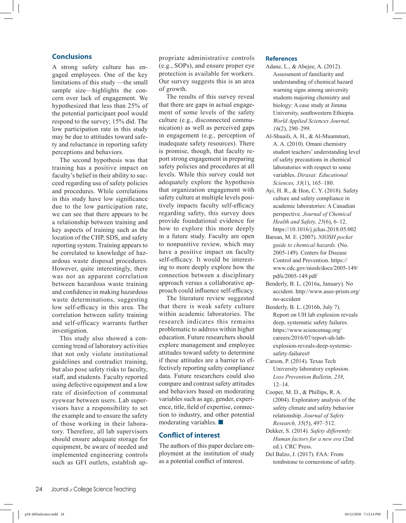#### **Conclusions**

A strong safety culture has engaged employees. One of the key limitations of this study —the small sample size—highlights the concern over lack of engagement. We hypothesized that less than 25% of the potential participant pool would respond to the survey; 15% did. The low participation rate in this study may be due to attitudes toward safety and reluctance in reporting safety perceptions and behaviors.

The second hypothesis was that training has a positive impact on faculty's belief in their ability to succeed regarding use of safety policies and procedures. While correlations in this study have low significance due to the low participation rate, we can see that there appears to be a relationship between training and key aspects of training such as the location of the CHP, SDS, and safety reporting system. Training appears to be correlated to knowledge of hazardous waste disposal procedures. However, quite interestingly, there was not an apparent correlation between hazardous waste training and confidence in making hazardous waste determinations, suggesting low self-efficacy in this area. The correlation between safety training and self-efficacy warrants further investigation.

This study also showed a concerning trend of laboratory activities that not only violate institutional guidelines and contradict training, but also pose safety risks to faculty, staff, and students. Faculty reported using defective equipment and a low rate of disinfection of communal eyewear between users. Lab supervisors have a responsibility to set the example and to ensure the safety of those working in their laboratory. Therefore, all lab supervisors should ensure adequate storage for equipment, be aware of needed and implemented engineering controls such as GFI outlets, establish appropriate administrative controls (e.g., SOPs), and ensure proper eye protection is available for workers. Our survey suggests this is an area of growth.

The results of this survey reveal that there are gaps in actual engagement of some levels of the safety culture (e.g., disconnected communication) as well as perceived gaps in engagement (e.g., perception of inadequate safety resources). There is promise, though, that faculty report strong engagement in preparing safety policies and procedures at all levels. While this survey could not adequately explore the hypothesis that organization engagement with safety culture at multiple levels positively impacts faculty self-efficacy regarding safety, this survey does provide foundational evidence for how to explore this more deeply in a future study. Faculty are open to nonpunitive review, which may have a positive impact on faculty self-efficacy. It would be interesting to more deeply explore how the connection between a disciplinary approach versus a collaborative approach could influence self-efficacy.

The literature review suggested that there is weak safety culture within academic laboratories. The research indicates this remains problematic to address within higher education. Future researchers should explore management and employee attitudes toward safety to determine if these attitudes are a barrier to effectively reporting safety compliance data. Future researchers could also compare and contrast safety attitudes and behaviors based on moderating variables such as age, gender, experience, title, field of expertise, connection to industry, and other potential moderating variables. ■

#### **Conflict of interest**

The authors of this paper declare employment at the institution of study as a potential conflict of interest.

#### **References**

- Adane, L., & Abejee, A. (2012). Assessment of familiarity and understanding of chemical hazard warning signs among university students majoring chemistry and biology: A case study at Jimma University, southwestern Ethiopia. *World Applied Sciences Journal, 16*(2), 290–299.
- Al-Shuaili, A. H., & Al-Muammari, A. A. (2010). Omani chemistry student teachers' understanding level of safety precautions in chemical laboratories with respect to some variables. *Dirasat: Educational Sciences, 33*(1), 165–180.
- Ayi, H. R., & Hon, C. Y. (2018). Safety culture and safety compliance in academic laboratories: A Canadian perspective. *Journal of Chemical Health and Safety, 25*(6), 6–12. https://10.1016/j.jchas.2018.05.002
- Barsan, M. E. (2007). *NIOSH pocket guide to chemical hazards.* (No. 2005-149). Centers for Disease Control and Prevention. https:// www.cdc.gov/niosh/docs/2005-149/ pdfs/2005-149.pdf
- Benderly, B. L. (2016a, January). No accident. http://www.asee-prism.org/ no-accident
- Benderly, B. L. (2016b, July 7). Report on UH lab explosion reveals deep, systematic safety failures. https://www.sciencemag.org/ careers/2016/07/report-uh-labexplosion-reveals-deep-systemicsafety-failures#
- Carson, P. (2014). Texas Tech University laboratory explosion. *Loss Prevention Bulletin, 238*, 12–14.
- Cooper, M. D., & Phillips, R. A. (2004). Exploratory analysis of the safety climate and safety behavior relationship. *Journal of Safety Research, 35*(5), 497–512.
- Dekker, S. (2014). *Safety differently: Human factors for a new era* (2nd ed.). CRC Press.
- Del Balzo, J. (2017). FAA: From tombstone to cornerstone of safety.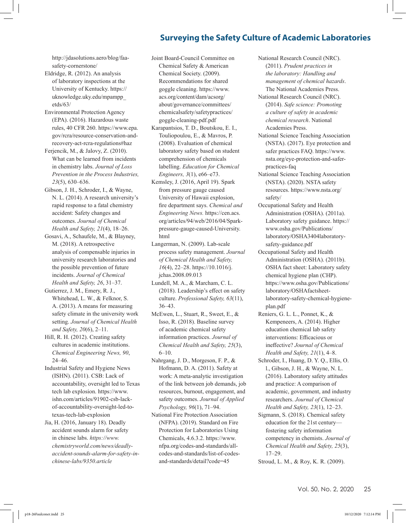http://jdasolutions.aero/blog/faasafety-cornerstone/

- Eldridge, R. (2012). An analysis of laboratory inspections at the University of Kentucky. https:// uknowledge.uky.edu/mpampp\_ etds/63/
- Environmental Protection Agency (EPA). (2016). Hazardous waste rules, 40 CFR 260. https://www.epa. gov/rcra/resource-conservation-andrecovery-act-rcra-regulations#haz
- Ferjencik, M., & Jalovy, Z. (2010). What can be learned from incidents in chemistry labs. *Journal of Loss Prevention in the Process Industries, 23*(5), 630–636.
- Gibson, J. H., Schroder, I., & Wayne, N. L. (2014). A research university's rapid response to a fatal chemistry accident: Safety changes and outcomes. *Journal of Chemical Health and Safety, 21*(4), 18–26.
- Gosavi, A., Schaufele, M., & Blayney, M. (2018). A retrospective analysis of compensable injuries in university research laboratories and the possible prevention of future incidents. *Journal of Chemical Health and Safety, 26*, 31–37.
- Gutierrez, J. M., Emery, R. J., Whitehead, L. W., & Felknor, S. A. (2013). A means for measuring safety climate in the university work setting. *Journal of Chemical Health and Safety, 20*(6), 2–11.
- Hill, R. H. (2012). Creating safety cultures in academic institutions. *Chemical Engineering News, 90*, 24–46.
- Industrial Safety and Hygiene News (ISHN). (2011). CSB: Lack of accountability, oversight led to Texas tech lab explosion. https://www. ishn.com/articles/91902-csb-lackof-accountability-oversight-led-totexas-tech-lab-explosion
- Jia, H. (2016, January 18). Deadly accident sounds alarm for safety in chinese labs. *https://www. chemistryworld.com/news/deadlyaccident-sounds-alarm-for-safety-inchinese-labs/9350.article*

Joint Board-Council Committee on Chemical Safety & American Chemical Society. (2009). Recommendations for shared goggle cleaning. https://www. acs.org/content/dam/acsorg/ about/governance/committees/ chemicalsafety/safetypractices/ goggle-cleaning-pdf.pdf

- Karapantsios, T. D., Boutskou, E. I., Touliopoulou, E., & Mavros, P. (2008). Evaluation of chemical laboratory safety based on student comprehension of chemicals labelling. *Education for Chemical Engineers, 3*(1), e66–e73.
- Kemsley, J. (2016, April 19). Spark from pressure gauge caused University of Hawaii explosion, fire department says. *Chemical and Engineering News.* https://cen.acs. org/articles/94/web/2016/04/Sparkpressure-gauge-caused-University. html
- Langerman, N. (2009). Lab-scale process safety management. *Journal of Chemical Health and Safety, 16*(4), 22–28. https://10.1016/j. jchas.2008.09.013
- Lundell, M. A., & Marcham, C. L. (2018). Leadership's effect on safety culture. *Professional Safety, 63*(11), 36–43.
- McEwen, L., Stuart, R., Sweet, E., & Isso, R. (2018). Baseline survey of academic chemical safety information practices. *Journal of Chemical Health and Safety, 25*(3), 6–10.
- Nahrgang, J. D., Morgeson, F. P., & Hofmann, D. A. (2011). Safety at work: A meta-analytic investigation of the link between job demands, job resources, burnout, engagement, and safety outcomes. *Journal of Applied Psychology, 96*(1), 71–94.
- National Fire Protection Association (NFPA). (2019). Standard on Fire Protection for Laboratories Using Chemicals, 4.6.3.2. https://www. nfpa.org/codes-and-standards/allcodes-and-standards/list-of-codesand-standards/detail?code=45
- National Research Council (NRC). (2011). *Prudent practices in the laboratory: Handling and management of chemical hazards*. The National Academies Press.
- National Research Council (NRC). (2014). *Safe science: Promoting a culture of safety in academic chemical research*. National Academies Press.
- National Science Teaching Association (NSTA). (2017). Eye protection and safer practices FAQ. https://www. nsta.org/eye-protection-and-saferpractices-faq
- National Science Teaching Association (NSTA). (2020). NSTA safety resources. https://www.nsta.org/ safety/
- Occupational Safety and Health Administration (OSHA). (2011a). Laboratory safety guidance. https:// www.osha.gov/Publications/ laboratory/OSHA3404laboratorysafety-guidance.pdf
- Occupational Safety and Health Administration (OSHA). (2011b). OSHA fact sheet: Laboratory safety chemical hygiene plan (CHP). https://www.osha.gov/Publications/ laboratory/OSHAfactsheetlaboratory-safety-chemical-hygieneplan.pdf
- Reniers, G. L. L., Ponnet, K., & Kempeneers, A. (2014). Higher education chemical lab safety interventions: Efficacious or ineffective? *Journal of Chemical Health and Safety, 21*(1), 4–8.
- Schroder, I., Huang, D. Y. Q., Ellis, O. l., Gibson, J. H., & Wayne, N. L. (2016). Laboratory safety attitudes and practice: A comparison of academic, government, and industry researchers. *Journal of Chemical Health and Safety, 23*(1), 12–23.
- Sigmann, S. (2018). Chemical safety education for the 21st century fostering safety information competency in chemists. *Journal of Chemical Health and Safety, 25*(3), 17–29.
- Stroud, L. M., & Roy, K. R. (2009).